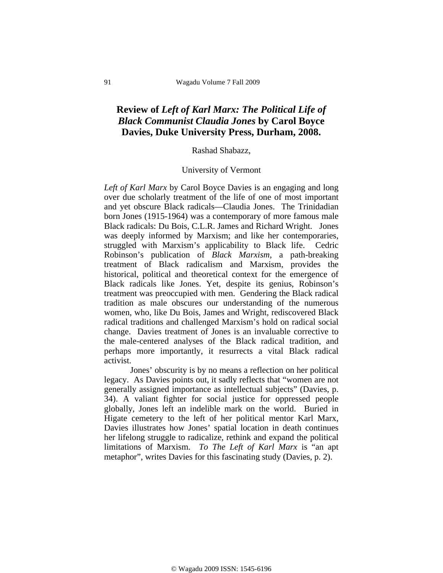## **Review of** *Left of Karl Marx: The Political Life of Black Communist Claudia Jones* **by Carol Boyce Davies, Duke University Press, Durham, 2008.**

## Rashad Shabazz,

## University of Vermont

*Left of Karl Marx* by Carol Boyce Davies is an engaging and long over due scholarly treatment of the life of one of most important and yet obscure Black radicals—Claudia Jones. The Trinidadian born Jones (1915-1964) was a contemporary of more famous male Black radicals: Du Bois, C.L.R. James and Richard Wright. Jones was deeply informed by Marxism; and like her contemporaries, struggled with Marxism's applicability to Black life. Cedric Robinson's publication of *Black Marxism*, a path-breaking treatment of Black radicalism and Marxism, provides the historical, political and theoretical context for the emergence of Black radicals like Jones. Yet, despite its genius, Robinson's treatment was preoccupied with men. Gendering the Black radical tradition as male obscures our understanding of the numerous women, who, like Du Bois, James and Wright, rediscovered Black radical traditions and challenged Marxism's hold on radical social change. Davies treatment of Jones is an invaluable corrective to the male-centered analyses of the Black radical tradition, and perhaps more importantly, it resurrects a vital Black radical activist.

Jones' obscurity is by no means a reflection on her political legacy. As Davies points out, it sadly reflects that "women are not generally assigned importance as intellectual subjects" (Davies, p. 34). A valiant fighter for social justice for oppressed people globally, Jones left an indelible mark on the world. Buried in Higate cemetery to the left of her political mentor Karl Marx, Davies illustrates how Jones' spatial location in death continues her lifelong struggle to radicalize, rethink and expand the political limitations of Marxism. *To The Left of Karl Marx* is "an apt metaphor", writes Davies for this fascinating study (Davies, p. 2).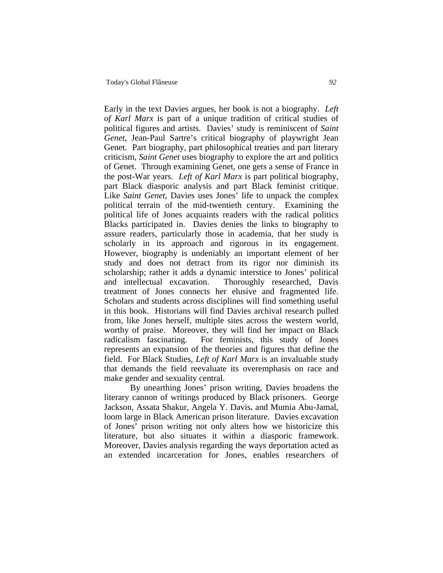Early in the text Davies argues, her book is not a biography. *Left of Karl Marx* is part of a unique tradition of critical studies of political figures and artists. Davies' study is reminiscent of *Saint Genet*, Jean-Paul Sartre's critical biography of playwright Jean Genet. Part biography, part philosophical treaties and part literary criticism, *Saint Genet* uses biography to explore the art and politics of Genet. Through examining Genet, one gets a sense of France in the post-War years. *Left of Karl Marx* is part political biography, part Black diasporic analysis and part Black feminist critique. Like *Saint Genet*, Davies uses Jones' life to unpack the complex political terrain of the mid-twentieth century. Examining the political life of Jones acquaints readers with the radical politics Blacks participated in. Davies denies the links to biography to assure readers, particularly those in academia, that her study is scholarly in its approach and rigorous in its engagement. However, biography is undeniably an important element of her study and does not detract from its rigor nor diminish its scholarship; rather it adds a dynamic interstice to Jones' political and intellectual excavation. Thoroughly researched, Davis treatment of Jones connects her elusive and fragmented life. Scholars and students across disciplines will find something useful in this book. Historians will find Davies archival research pulled from, like Jones herself, multiple sites across the western world, worthy of praise. Moreover, they will find her impact on Black radicalism fascinating. For feminists, this study of Jones represents an expansion of the theories and figures that define the field. For Black Studies, *Left of Karl Marx* is an invaluable study that demands the field reevaluate its overemphasis on race and make gender and sexuality central.

By unearthing Jones' prison writing, Davies broadens the literary cannon of writings produced by Black prisoners. George Jackson, Assata Shakur, Angela Y. Davis**.** and Mumia Abu-Jamal, loom large in Black American prison literature. Davies excavation of Jones' prison writing not only alters how we historicize this literature, but also situates it within a diasporic framework. Moreover, Davies analysis regarding the ways deportation acted as an extended incarceration for Jones, enables researchers of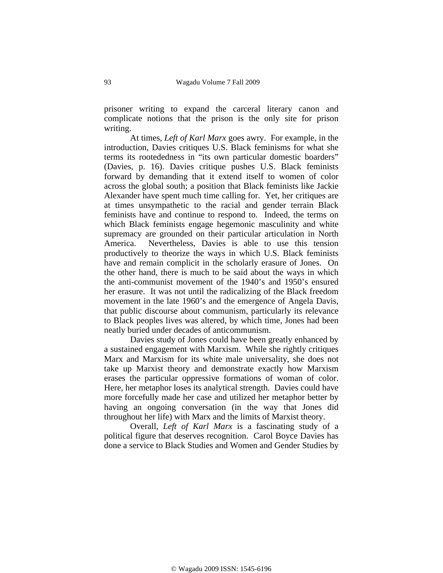prisoner writing to expand the carceral literary canon and complicate notions that the prison is the only site for prison writing.

At times, *Left of Karl Marx* goes awry. For example, in the introduction, Davies critiques U.S. Black feminisms for what she terms its rootededness in "its own particular domestic boarders" (Davies, p. 16). Davies critique pushes U.S. Black feminists forward by demanding that it extend itself to women of color across the global south; a position that Black feminists like Jackie Alexander have spent much time calling for. Yet, her critiques are at times unsympathetic to the racial and gender terrain Black feminists have and continue to respond to. Indeed, the terms on which Black feminists engage hegemonic masculinity and white supremacy are grounded on their particular articulation in North America. Nevertheless, Davies is able to use this tension productively to theorize the ways in which U.S. Black feminists have and remain complicit in the scholarly erasure of Jones. On the other hand, there is much to be said about the ways in which the anti-communist movement of the 1940's and 1950's ensured her erasure. It was not until the radicalizing of the Black freedom movement in the late 1960's and the emergence of Angela Davis, that public discourse about communism, particularly its relevance to Black peoples lives was altered, by which time, Jones had been neatly buried under decades of anticommunism.

Davies study of Jones could have been greatly enhanced by a sustained engagement with Marxism. While she rightly critiques Marx and Marxism for its white male universality, she does not take up Marxist theory and demonstrate exactly how Marxism erases the particular oppressive formations of woman of color. Here, her metaphor loses its analytical strength. Davies could have more forcefully made her case and utilized her metaphor better by having an ongoing conversation (in the way that Jones did throughout her life) with Marx and the limits of Marxist theory.

 Overall, *Left of Karl Marx* is a fascinating study of a political figure that deserves recognition. Carol Boyce Davies has done a service to Black Studies and Women and Gender Studies by